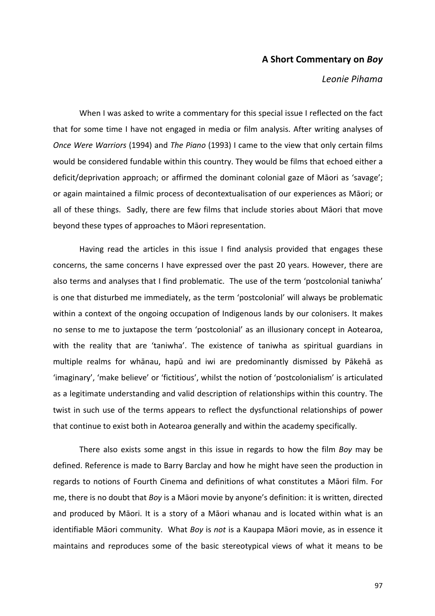## **A Short Commentary on** *Boy*

## *Leonie Pihama*

When I was asked to write a commentary for this special issue I reflected on the fact that for some time I have not engaged in media or film analysis. After writing analyses of *Once Were Warriors* (1994) and *The Piano* (1993) I came to the view that only certain films would be considered fundable within this country. They would be films that echoed either a deficit/deprivation approach; or affirmed the dominant colonial gaze of Māori as 'savage'; or again maintained a filmic process of decontextualisation of our experiences as Māori; or all of these things. Sadly, there are few films that include stories about Māori that move beyond these types of approaches to Māori representation.

Having read the articles in this issue I find analysis provided that engages these concerns, the same concerns I have expressed over the past 20 years. However, there are also terms and analyses that I find problematic. The use of the term 'postcolonial taniwha' is one that disturbed me immediately, as the term 'postcolonial' will always be problematic within a context of the ongoing occupation of Indigenous lands by our colonisers. It makes no sense to me to juxtapose the term 'postcolonial' as an illusionary concept in Aotearoa, with the reality that are 'taniwha'. The existence of taniwha as spiritual guardians in multiple realms for whānau, hapū and iwi are predominantly dismissed by Pākehā as 'imaginary', 'make believe' or 'fictitious', whilst the notion of 'postcolonialism' is articulated as a legitimate understanding and valid description of relationships within this country. The twist in such use of the terms appears to reflect the dysfunctional relationships of power that continue to exist both in Aotearoa generally and within the academy specifically.

There also exists some angst in this issue in regards to how the film *Boy* may be defined. Reference is made to Barry Barclay and how he might have seen the production in regards to notions of Fourth Cinema and definitions of what constitutes a Māori film. For me, there is no doubt that *Boy* is a Māori movie by anyone's definition: it is written, directed and produced by Māori. It is a story of a Māori whanau and is located within what is an identifiable Māori community. What *Boy* is *not* is a Kaupapa Māori movie, as in essence it maintains and reproduces some of the basic stereotypical views of what it means to be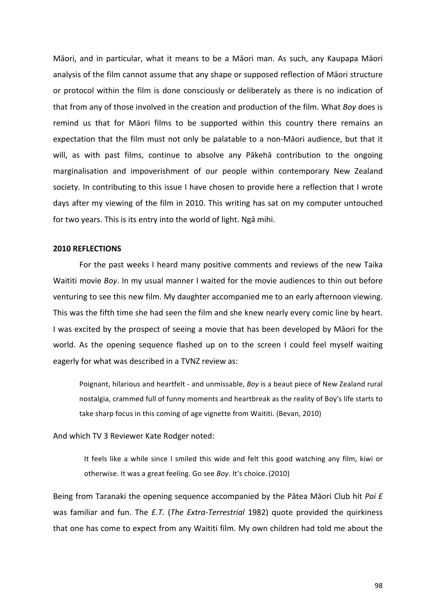Māori, and in particular, what it means to be a Māori man. As such, any Kaupapa Māori analysis of the film cannot assume that any shape or supposed reflection of Māori structure or protocol within the film is done consciously or deliberately as there is no indication of that from any of those involved in the creation and production of the film. What *Boy* does is remind us that for Māori films to be supported within this country there remains an expectation that the film must not only be palatable to a non-Māori audience, but that it will, as with past films, continue to absolve any Pākehā contribution to the ongoing marginalisation and impoverishment of our people within contemporary New Zealand society. In contributing to this issue I have chosen to provide here a reflection that I wrote days after my viewing of the film in 2010. This writing has sat on my computer untouched for two years. This is its entry into the world of light. Ngā mihi.

## **2010 REFLECTIONS**

For the past weeks I heard many positive comments and reviews of the new Taika Waititi movie *Boy*. In my usual manner I waited for the movie audiences to thin out before venturing to see this new film. My daughter accompanied me to an early afternoon viewing. This was the fifth time she had seen the film and she knew nearly every comic line by heart. I was excited by the prospect of seeing a movie that has been developed by Māori for the world. As the opening sequence flashed up on to the screen I could feel myself waiting eagerly for what was described in a TVNZ review as:

Poignant, hilarious and heartfelt - and unmissable, *Boy* is a beaut piece of New Zealand rural nostalgia, crammed full of funny moments and heartbreak as the reality of Boy's life starts to take sharp focus in this coming of age vignette from Waititi. (Bevan, 2010)

And which TV 3 Reviewer Kate Rodger noted:

It feels like a while since I smiled this wide and felt this good watching any film, kiwi or otherwise. It was a great feeling. Go see *Boy*. It's choice. (2010)

Being from Taranaki the opening sequence accompanied by the Pātea Māori Club hit *Poi E* was familiar and fun. The *E.T.* (*The Extra-Terrestrial* 1982) quote provided the quirkiness that one has come to expect from any Waititi film. My own children had told me about the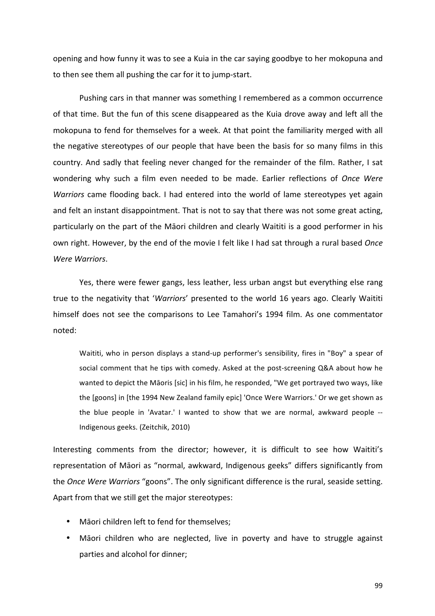opening and how funny it was to see a Kuia in the car saying goodbye to her mokopuna and to then see them all pushing the car for it to jump-start.

Pushing cars in that manner was something I remembered as a common occurrence of that time. But the fun of this scene disappeared as the Kuia drove away and left all the mokopuna to fend for themselves for a week. At that point the familiarity merged with all the negative stereotypes of our people that have been the basis for so many films in this country. And sadly that feeling never changed for the remainder of the film. Rather, I sat wondering why such a film even needed to be made. Earlier reflections of Once Were *Warriors* came flooding back. I had entered into the world of lame stereotypes yet again and felt an instant disappointment. That is not to say that there was not some great acting, particularly on the part of the Māori children and clearly Waititi is a good performer in his own right. However, by the end of the movie I felt like I had sat through a rural based *Once Were Warriors*.

Yes, there were fewer gangs, less leather, less urban angst but everything else rang true to the negativity that '*Warriors'* presented to the world 16 years ago. Clearly Waititi himself does not see the comparisons to Lee Tamahori's 1994 film. As one commentator noted:

Waititi, who in person displays a stand-up performer's sensibility, fires in "Boy" a spear of social comment that he tips with comedy. Asked at the post-screening Q&A about how he wanted to depict the Māoris [sic] in his film, he responded, "We get portrayed two ways, like the [goons] in [the 1994 New Zealand family epic] 'Once Were Warriors.' Or we get shown as the blue people in 'Avatar.' I wanted to show that we are normal, awkward people --Indigenous geeks. (Zeitchik, 2010)

Interesting comments from the director; however, it is difficult to see how Waititi's representation of Māori as "normal, awkward, Indigenous geeks" differs significantly from the *Once Were Warriors* "goons". The only significant difference is the rural, seaside setting. Apart from that we still get the major stereotypes:

- Māori children left to fend for themselves;
- Māori children who are neglected, live in poverty and have to struggle against parties and alcohol for dinner;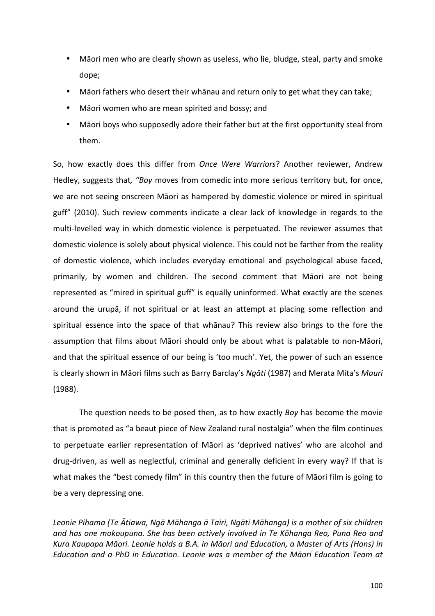- Māori men who are clearly shown as useless, who lie, bludge, steal, party and smoke dope;
- Māori fathers who desert their whānau and return only to get what they can take;
- Māori women who are mean spirited and bossy; and
- Māori boys who supposedly adore their father but at the first opportunity steal from them.

So, how exactly does this differ from *Once Were Warriors*? Another reviewer, Andrew Hedley, suggests that, "Boy moves from comedic into more serious territory but, for once, we are not seeing onscreen Māori as hampered by domestic violence or mired in spiritual guff" (2010). Such review comments indicate a clear lack of knowledge in regards to the multi-levelled way in which domestic violence is perpetuated. The reviewer assumes that domestic violence is solely about physical violence. This could not be farther from the reality of domestic violence, which includes everyday emotional and psychological abuse faced. primarily, by women and children. The second comment that Māori are not being represented as "mired in spiritual guff" is equally uninformed. What exactly are the scenes around the urupā, if not spiritual or at least an attempt at placing some reflection and spiritual essence into the space of that whanau? This review also brings to the fore the assumption that films about Māori should only be about what is palatable to non-Māori, and that the spiritual essence of our being is 'too much'. Yet, the power of such an essence is clearly shown in Māori films such as Barry Barclay's *Ngāti* (1987) and Merata Mita's *Mauri* (1988). 

The question needs to be posed then, as to how exactly *Boy* has become the movie that is promoted as "a beaut piece of New Zealand rural nostalgia" when the film continues to perpetuate earlier representation of Māori as 'deprived natives' who are alcohol and drug-driven, as well as neglectful, criminal and generally deficient in every way? If that is what makes the "best comedy film" in this country then the future of Māori film is going to be a very depressing one.

Leonie Pihama (Te Ātiawa, Ngā Māhanga ā Tairi, Ngāti Māhanga) is a mother of six children and has one mokoupuna. She has been actively involved in Te Kōhanga Reo, Puna Reo and Kura Kaupapa Māori. Leonie holds a B.A. in Māori and Education, a Master of Arts (Hons) in *Education and a PhD in Education. Leonie was a member of the Māori Education Team at*